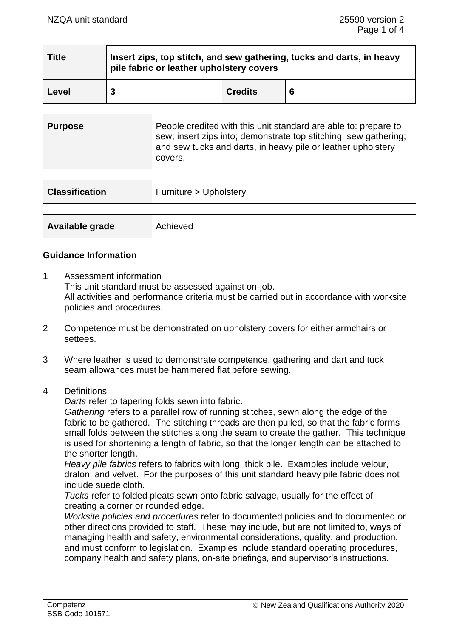| <b>Title</b> | Insert zips, top stitch, and sew gathering, tucks and darts, in heavy<br>pile fabric or leather upholstery covers |                |    |
|--------------|-------------------------------------------------------------------------------------------------------------------|----------------|----|
| Level        |                                                                                                                   | <b>Credits</b> | -6 |

| <b>Purpose</b> | People credited with this unit standard are able to: prepare to<br>sew; insert zips into; demonstrate top stitching; sew gathering;<br>and sew tucks and darts, in heavy pile or leather upholstery<br>covers. |
|----------------|----------------------------------------------------------------------------------------------------------------------------------------------------------------------------------------------------------------|
|----------------|----------------------------------------------------------------------------------------------------------------------------------------------------------------------------------------------------------------|

| <b>Classification</b><br>Furniture > Upholstery |          |
|-------------------------------------------------|----------|
|                                                 |          |
| Available grade                                 | Achieved |

## **Guidance Information**

- 1 Assessment information This unit standard must be assessed against on-job. All activities and performance criteria must be carried out in accordance with worksite policies and procedures.
- 2 Competence must be demonstrated on upholstery covers for either armchairs or settees.
- 3 Where leather is used to demonstrate competence, gathering and dart and tuck seam allowances must be hammered flat before sewing.
- 4 Definitions

*Darts* refer to tapering folds sewn into fabric.

*Gathering* refers to a parallel row of running stitches, sewn along the edge of the fabric to be gathered. The stitching threads are then pulled, so that the fabric forms small folds between the stitches along the seam to create the gather. This technique is used for shortening a length of fabric, so that the longer length can be attached to the shorter length.

*Heavy pile fabrics* refers to fabrics with long, thick pile. Examples include velour, dralon, and velvet. For the purposes of this unit standard heavy pile fabric does not include suede cloth.

*Tucks* refer to folded pleats sewn onto fabric salvage, usually for the effect of creating a corner or rounded edge.

*Worksite policies and procedures* refer to documented policies and to documented or other directions provided to staff. These may include, but are not limited to, ways of managing health and safety, environmental considerations, quality, and production, and must conform to legislation. Examples include standard operating procedures, company health and safety plans, on-site briefings, and supervisor's instructions.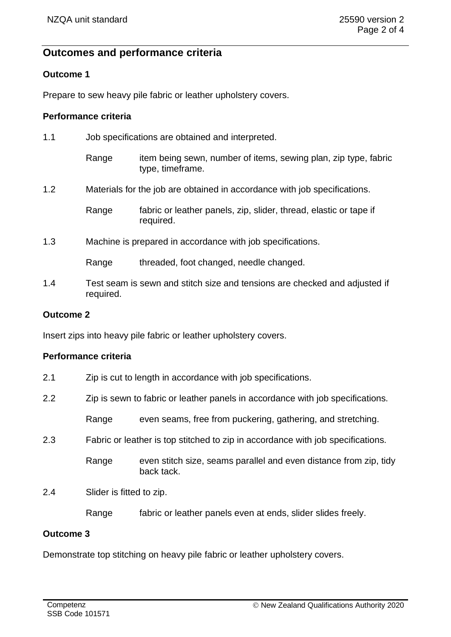# **Outcomes and performance criteria**

## **Outcome 1**

Prepare to sew heavy pile fabric or leather upholstery covers.

## **Performance criteria**

| 1.1 | Job specifications are obtained and interpreted. |                                                                                     |  |
|-----|--------------------------------------------------|-------------------------------------------------------------------------------------|--|
|     | Range                                            | item being sewn, number of items, sewing plan, zip type, fabric<br>type, timeframe. |  |
| 1.2 |                                                  | Materials for the job are obtained in accordance with job specifications.           |  |
|     | Range                                            | fabric or leather panels, zip, slider, thread, elastic or tape if<br>required.      |  |
| 1.3 |                                                  | Machine is prepared in accordance with job specifications.                          |  |
|     | Range                                            | threaded, foot changed, needle changed.                                             |  |
|     |                                                  |                                                                                     |  |

1.4 Test seam is sewn and stitch size and tensions are checked and adjusted if required.

#### **Outcome 2**

Insert zips into heavy pile fabric or leather upholstery covers.

#### **Performance criteria**

|  | 2.1 |  |  |  | Zip is cut to length in accordance with job specifications. |
|--|-----|--|--|--|-------------------------------------------------------------|
|--|-----|--|--|--|-------------------------------------------------------------|

2.2 Zip is sewn to fabric or leather panels in accordance with job specifications.

Range even seams, free from puckering, gathering, and stretching.

2.3 Fabric or leather is top stitched to zip in accordance with job specifications.

Range even stitch size, seams parallel and even distance from zip, tidy back tack.

2.4 Slider is fitted to zip.

Range fabric or leather panels even at ends, slider slides freely.

## **Outcome 3**

Demonstrate top stitching on heavy pile fabric or leather upholstery covers.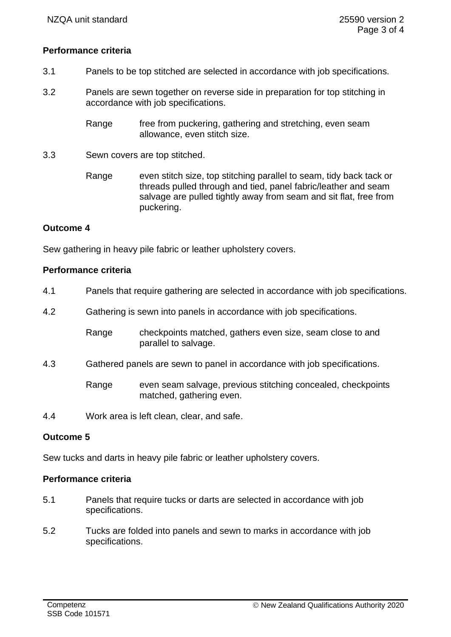#### **Performance criteria**

- 3.1 Panels to be top stitched are selected in accordance with job specifications.
- 3.2 Panels are sewn together on reverse side in preparation for top stitching in accordance with job specifications.
	- Range free from puckering, gathering and stretching, even seam allowance, even stitch size.
- 3.3 Sewn covers are top stitched.
	- Range even stitch size, top stitching parallel to seam, tidy back tack or threads pulled through and tied, panel fabric/leather and seam salvage are pulled tightly away from seam and sit flat, free from puckering.

#### **Outcome 4**

Sew gathering in heavy pile fabric or leather upholstery covers.

#### **Performance criteria**

- 4.1 Panels that require gathering are selected in accordance with job specifications.
- 4.2 Gathering is sewn into panels in accordance with job specifications.

Range checkpoints matched, gathers even size, seam close to and parallel to salvage.

4.3 Gathered panels are sewn to panel in accordance with job specifications.

Range even seam salvage, previous stitching concealed, checkpoints matched, gathering even.

4.4 Work area is left clean, clear, and safe.

#### **Outcome 5**

Sew tucks and darts in heavy pile fabric or leather upholstery covers.

#### **Performance criteria**

- 5.1 Panels that require tucks or darts are selected in accordance with job specifications.
- 5.2 Tucks are folded into panels and sewn to marks in accordance with job specifications.